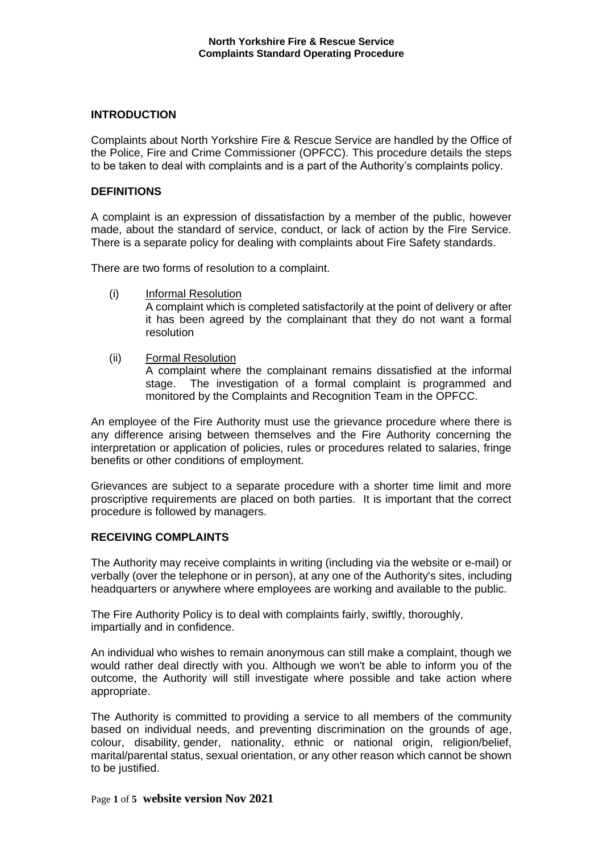## **INTRODUCTION**

Complaints about North Yorkshire Fire & Rescue Service are handled by the Office of the Police, Fire and Crime Commissioner (OPFCC). This procedure details the steps to be taken to deal with complaints and is a part of the Authority's complaints policy.

# **DEFINITIONS**

A complaint is an expression of dissatisfaction by a member of the public, however made, about the standard of service, conduct, or lack of action by the Fire Service. There is a separate policy for dealing with complaints about Fire Safety standards.

There are two forms of resolution to a complaint.

- (i) Informal Resolution A complaint which is completed satisfactorily at the point of delivery or after it has been agreed by the complainant that they do not want a formal resolution
- (ii) Formal Resolution

A complaint where the complainant remains dissatisfied at the informal stage. The investigation of a formal complaint is programmed and monitored by the Complaints and Recognition Team in the OPFCC.

An employee of the Fire Authority must use the grievance procedure where there is any difference arising between themselves and the Fire Authority concerning the interpretation or application of policies, rules or procedures related to salaries, fringe benefits or other conditions of employment.

Grievances are subject to a separate procedure with a shorter time limit and more proscriptive requirements are placed on both parties. It is important that the correct procedure is followed by managers.

## **RECEIVING COMPLAINTS**

The Authority may receive complaints in writing (including via the website or e-mail) or verbally (over the telephone or in person), at any one of the Authority's sites, including headquarters or anywhere where employees are working and available to the public.

The Fire Authority Policy is to deal with complaints fairly, swiftly, thoroughly, impartially and in confidence.

An individual who wishes to remain anonymous can still make a complaint, though we would rather deal directly with you. Although we won't be able to inform you of the outcome, the Authority will still investigate where possible and take action where appropriate.

The Authority is committed to providing a service to all members of the community based on individual needs, and preventing discrimination on the grounds of age, colour, disability, gender, nationality, ethnic or national origin, religion/belief, marital/parental status, sexual orientation, or any other reason which cannot be shown to be justified.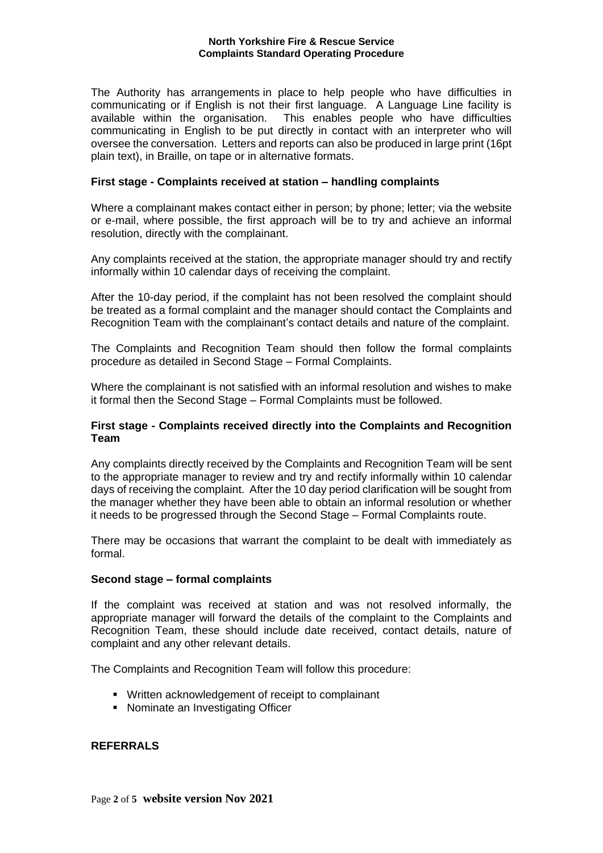The Authority has arrangements in place to help people who have difficulties in communicating or if English is not their first language. A Language Line facility is available within the organisation. This enables people who have difficulties communicating in English to be put directly in contact with an interpreter who will oversee the conversation. Letters and reports can also be produced in large print (16pt plain text), in Braille, on tape or in alternative formats.

# **First stage - Complaints received at station – handling complaints**

Where a complainant makes contact either in person; by phone; letter; via the website or e-mail, where possible, the first approach will be to try and achieve an informal resolution, directly with the complainant.

Any complaints received at the station, the appropriate manager should try and rectify informally within 10 calendar days of receiving the complaint.

After the 10-day period, if the complaint has not been resolved the complaint should be treated as a formal complaint and the manager should contact the Complaints and Recognition Team with the complainant's contact details and nature of the complaint.

The Complaints and Recognition Team should then follow the formal complaints procedure as detailed in Second Stage – Formal Complaints.

Where the complainant is not satisfied with an informal resolution and wishes to make it formal then the Second Stage – Formal Complaints must be followed.

# **First stage - Complaints received directly into the Complaints and Recognition Team**

Any complaints directly received by the Complaints and Recognition Team will be sent to the appropriate manager to review and try and rectify informally within 10 calendar days of receiving the complaint. After the 10 day period clarification will be sought from the manager whether they have been able to obtain an informal resolution or whether it needs to be progressed through the Second Stage – Formal Complaints route.

There may be occasions that warrant the complaint to be dealt with immediately as formal.

## **Second stage – formal complaints**

If the complaint was received at station and was not resolved informally, the appropriate manager will forward the details of the complaint to the Complaints and Recognition Team, these should include date received, contact details, nature of complaint and any other relevant details.

The Complaints and Recognition Team will follow this procedure:

- Written acknowledgement of receipt to complainant
- Nominate an Investigating Officer

## **REFERRALS**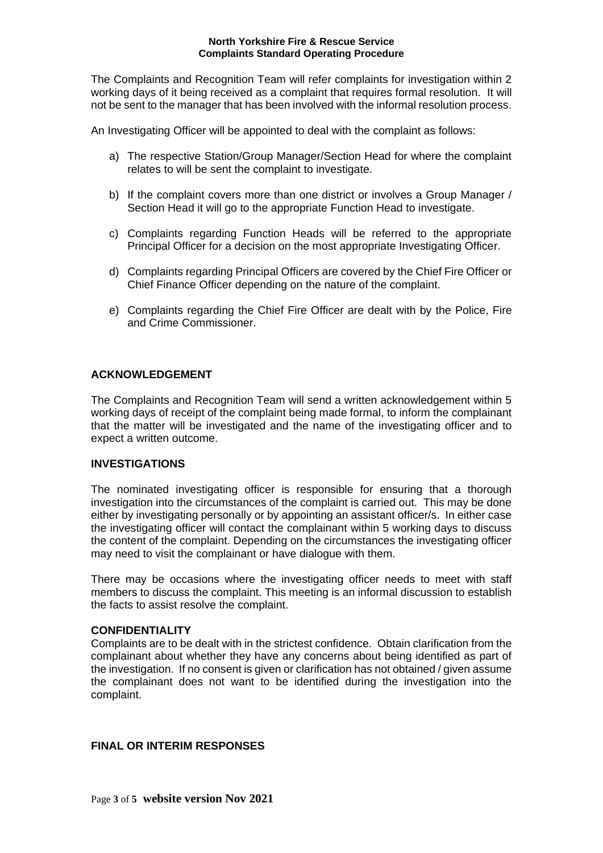The Complaints and Recognition Team will refer complaints for investigation within 2 working days of it being received as a complaint that requires formal resolution. It will not be sent to the manager that has been involved with the informal resolution process.

An Investigating Officer will be appointed to deal with the complaint as follows:

- a) The respective Station/Group Manager/Section Head for where the complaint relates to will be sent the complaint to investigate.
- b) If the complaint covers more than one district or involves a Group Manager / Section Head it will go to the appropriate Function Head to investigate.
- c) Complaints regarding Function Heads will be referred to the appropriate Principal Officer for a decision on the most appropriate Investigating Officer.
- d) Complaints regarding Principal Officers are covered by the Chief Fire Officer or Chief Finance Officer depending on the nature of the complaint.
- e) Complaints regarding the Chief Fire Officer are dealt with by the Police, Fire and Crime Commissioner.

# **ACKNOWLEDGEMENT**

The Complaints and Recognition Team will send a written acknowledgement within 5 working days of receipt of the complaint being made formal, to inform the complainant that the matter will be investigated and the name of the investigating officer and to expect a written outcome.

## **INVESTIGATIONS**

The nominated investigating officer is responsible for ensuring that a thorough investigation into the circumstances of the complaint is carried out. This may be done either by investigating personally or by appointing an assistant officer/s. In either case the investigating officer will contact the complainant within 5 working days to discuss the content of the complaint. Depending on the circumstances the investigating officer may need to visit the complainant or have dialogue with them.

There may be occasions where the investigating officer needs to meet with staff members to discuss the complaint. This meeting is an informal discussion to establish the facts to assist resolve the complaint.

## **CONFIDENTIALITY**

Complaints are to be dealt with in the strictest confidence. Obtain clarification from the complainant about whether they have any concerns about being identified as part of the investigation. If no consent is given or clarification has not obtained / given assume the complainant does not want to be identified during the investigation into the complaint.

# **FINAL OR INTERIM RESPONSES**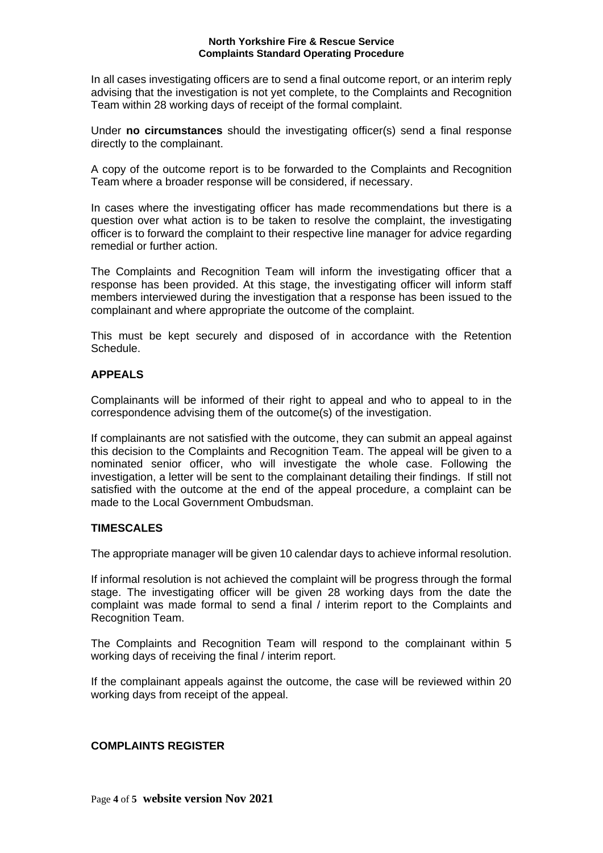In all cases investigating officers are to send a final outcome report, or an interim reply advising that the investigation is not yet complete, to the Complaints and Recognition Team within 28 working days of receipt of the formal complaint.

Under **no circumstances** should the investigating officer(s) send a final response directly to the complainant.

A copy of the outcome report is to be forwarded to the Complaints and Recognition Team where a broader response will be considered, if necessary.

In cases where the investigating officer has made recommendations but there is a question over what action is to be taken to resolve the complaint, the investigating officer is to forward the complaint to their respective line manager for advice regarding remedial or further action.

The Complaints and Recognition Team will inform the investigating officer that a response has been provided. At this stage, the investigating officer will inform staff members interviewed during the investigation that a response has been issued to the complainant and where appropriate the outcome of the complaint.

This must be kept securely and disposed of in accordance with the Retention Schedule.

# **APPEALS**

Complainants will be informed of their right to appeal and who to appeal to in the correspondence advising them of the outcome(s) of the investigation.

If complainants are not satisfied with the outcome, they can submit an appeal against this decision to the Complaints and Recognition Team. The appeal will be given to a nominated senior officer, who will investigate the whole case. Following the investigation, a letter will be sent to the complainant detailing their findings. If still not satisfied with the outcome at the end of the appeal procedure, a complaint can be made to the Local Government Ombudsman.

# **TIMESCALES**

The appropriate manager will be given 10 calendar days to achieve informal resolution.

If informal resolution is not achieved the complaint will be progress through the formal stage. The investigating officer will be given 28 working days from the date the complaint was made formal to send a final / interim report to the Complaints and Recognition Team.

The Complaints and Recognition Team will respond to the complainant within 5 working days of receiving the final / interim report.

If the complainant appeals against the outcome, the case will be reviewed within 20 working days from receipt of the appeal.

## **COMPLAINTS REGISTER**